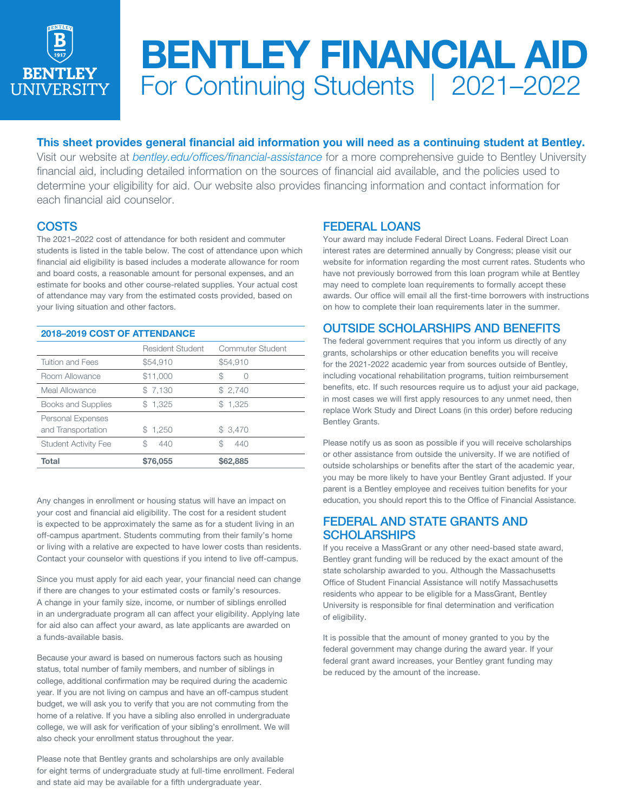

# BENTLEY FINANCIAL AID For Continuing Students | 2021–2022

## This sheet provides general financial aid information you will need as a continuing student at Bentley.

Visit our website at *bentley.edu/offices/financial-assistance* for a more comprehensive guide to Bentley University financial aid, including detailed information on the sources of financial aid available, and the policies used to determine your eligibility for aid. Our website also provides financing information and contact information for each financial aid counselor.

## **COSTS**

The 2021–2022 cost of attendance for both resident and commuter students is listed in the table below. The cost of attendance upon which financial aid eligibility is based includes a moderate allowance for room and board costs, a reasonable amount for personal expenses, and an estimate for books and other course-related supplies. Your actual cost of attendance may vary from the estimated costs provided, based on your living situation and other factors.

| 2018-2019 COST OF ATTENDANCE                   |                         |                  |
|------------------------------------------------|-------------------------|------------------|
|                                                | <b>Resident Student</b> | Commuter Student |
| <b>Tuition and Fees</b>                        | \$54,910                | \$54,910         |
| Room Allowance                                 | \$11,000                | ß.               |
| Meal Allowance                                 | \$7,130                 | \$2,740          |
| Books and Supplies                             | \$1,325                 | \$1.325          |
| <b>Personal Expenses</b><br>and Transportation | \$1,250                 | \$3,470          |
| <b>Student Activity Fee</b>                    | S<br>440                | \$<br>440        |
| Total                                          | \$76,055                | \$62,885         |

Any changes in enrollment or housing status will have an impact on your cost and financial aid eligibility. The cost for a resident student is expected to be approximately the same as for a student living in an off-campus apartment. Students commuting from their family's home or living with a relative are expected to have lower costs than residents. Contact your counselor with questions if you intend to live off-campus.

Since you must apply for aid each year, your financial need can change if there are changes to your estimated costs or family's resources. A change in your family size, income, or number of siblings enrolled in an undergraduate program all can affect your eligibility. Applying late for aid also can affect your award, as late applicants are awarded on a funds-available basis.

Because your award is based on numerous factors such as housing status, total number of family members, and number of siblings in college, additional confirmation may be required during the academic year. If you are not living on campus and have an off-campus student budget, we will ask you to verify that you are not commuting from the home of a relative. If you have a sibling also enrolled in undergraduate college, we will ask for verification of your sibling's enrollment. We will also check your enrollment status throughout the year.

Please note that Bentley grants and scholarships are only available for eight terms of undergraduate study at full-time enrollment. Federal and state aid may be available for a fifth undergraduate year.

# FEDERAL LOANS

Your award may include Federal Direct Loans. Federal Direct Loan interest rates are determined annually by Congress; please visit our website for information regarding the most current rates. Students who have not previously borrowed from this loan program while at Bentley may need to complete loan requirements to formally accept these awards. Our office will email all the first-time borrowers with instructions on how to complete their loan requirements later in the summer.

# OUTSIDE SCHOLARSHIPS AND BENEFITS

The federal government requires that you inform us directly of any grants, scholarships or other education benefits you will receive for the 2021-2022 academic year from sources outside of Bentley, including vocational rehabilitation programs, tuition reimbursement benefits, etc. If such resources require us to adjust your aid package, in most cases we will first apply resources to any unmet need, then replace Work Study and Direct Loans (in this order) before reducing Bentley Grants.

Please notify us as soon as possible if you will receive scholarships or other assistance from outside the university. If we are notified of outside scholarships or benefits after the start of the academic year, you may be more likely to have your Bentley Grant adjusted. If your parent is a Bentley employee and receives tuition benefits for your education, you should report this to the Office of Financial Assistance.

## FEDERAL AND STATE GRANTS AND **SCHOLARSHIPS**

If you receive a MassGrant or any other need-based state award, Bentley grant funding will be reduced by the exact amount of the state scholarship awarded to you. Although the Massachusetts Office of Student Financial Assistance will notify Massachusetts residents who appear to be eligible for a MassGrant, Bentley University is responsible for final determination and verification of eligibility.

It is possible that the amount of money granted to you by the federal government may change during the award year. If your federal grant award increases, your Bentley grant funding may be reduced by the amount of the increase.